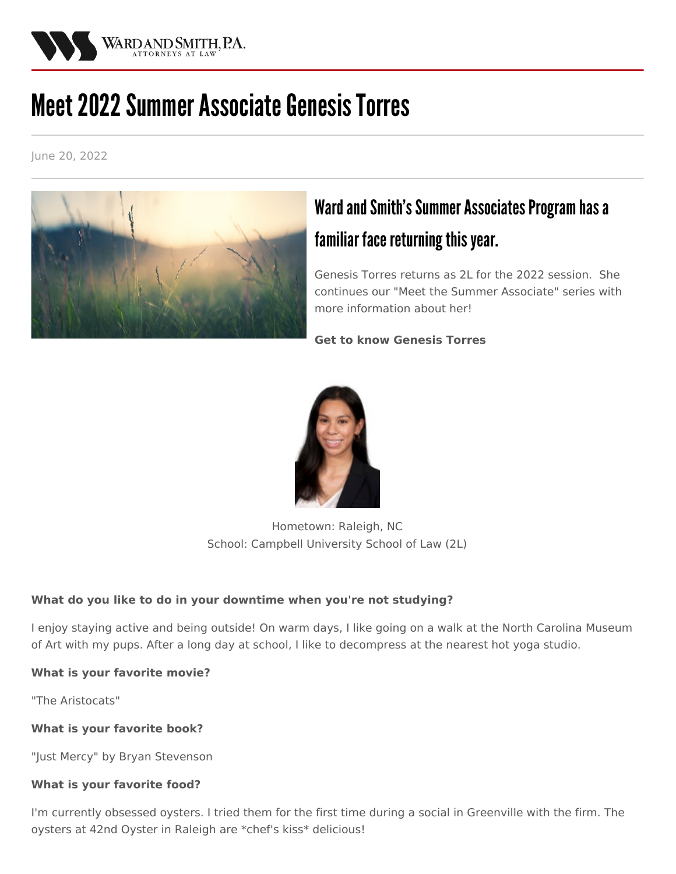

# **Meet 2022 Summer Associate Genesis Torres**

June 20, 2022



# Ward and Smith's Summer Associates Program has a familiar face returning this year.

Genesis Torres returns as 2L for the 2022 session. She continues our "Meet the Summer Associate" series with more information about her!

**Get to know Genesis Torres**



Hometown: Raleigh, NC School: Campbell University School of Law (2L)

# **What do you like to do in your downtime when you're not studying?**

I enjoy staying active and being outside! On warm days, I like going on a walk at the North Carolina Museum of Art with my pups. After a long day at school, I like to decompress at the nearest hot yoga studio.

#### **What is your favorite movie?**

"The Aristocats"

#### **What is your favorite book?**

"Just Mercy" by Bryan Stevenson

#### **What is your favorite food?**

I'm currently obsessed oysters. I tried them for the first time during a social in Greenville with the firm. The oysters at 42nd Oyster in Raleigh are \*chef's kiss\* delicious!